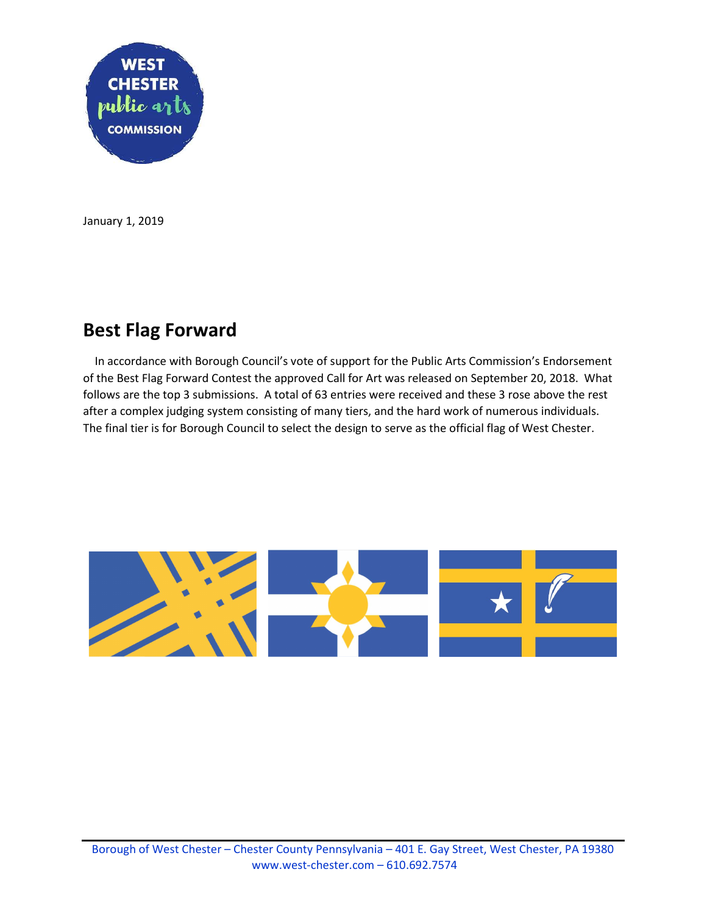

January 1, 2019

## Best Flag Forward

 In accordance with Borough Council's vote of support for the Public Arts Commission's Endorsement of the Best Flag Forward Contest the approved Call for Art was released on September 20, 2018. What follows are the top 3 submissions. A total of 63 entries were received and these 3 rose above the rest after a complex judging system consisting of many tiers, and the hard work of numerous individuals. The final tier is for Borough Council to select the design to serve as the official flag of West Chester.

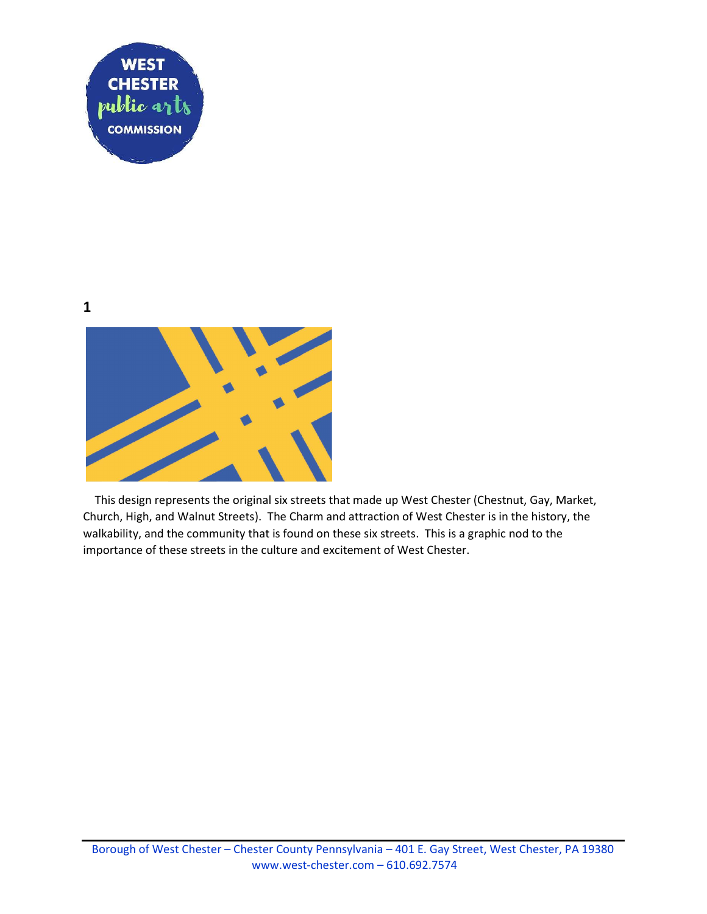

1



 This design represents the original six streets that made up West Chester (Chestnut, Gay, Market, Church, High, and Walnut Streets). The Charm and attraction of West Chester is in the history, the walkability, and the community that is found on these six streets. This is a graphic nod to the importance of these streets in the culture and excitement of West Chester.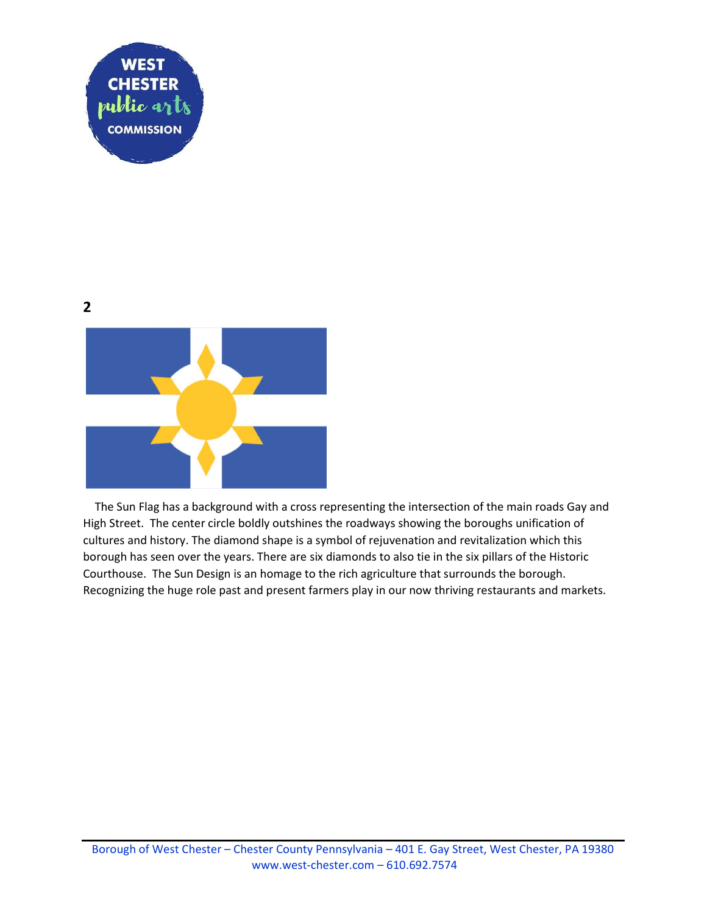

2



 The Sun Flag has a background with a cross representing the intersection of the main roads Gay and High Street. The center circle boldly outshines the roadways showing the boroughs unification of cultures and history. The diamond shape is a symbol of rejuvenation and revitalization which this borough has seen over the years. There are six diamonds to also tie in the six pillars of the Historic Courthouse. The Sun Design is an homage to the rich agriculture that surrounds the borough. Recognizing the huge role past and present farmers play in our now thriving restaurants and markets.